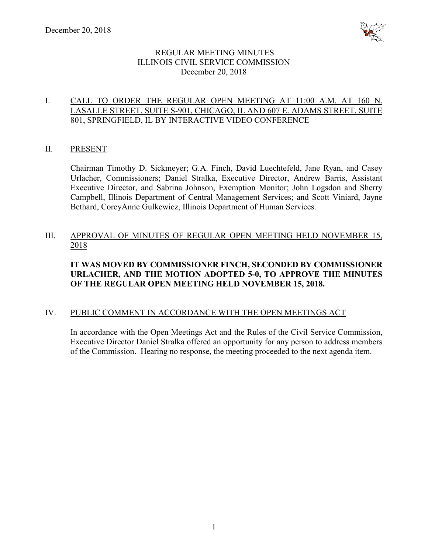

# REGULAR MEETING MINUTES ILLINOIS CIVIL SERVICE COMMISSION December 20, 2018

# I. CALL TO ORDER THE REGULAR OPEN MEETING AT 11:00 A.M. AT 160 N. LASALLE STREET, SUITE S-901, CHICAGO, IL AND 607 E. ADAMS STREET, SUITE 801, SPRINGFIELD, IL BY INTERACTIVE VIDEO CONFERENCE

## II. PRESENT

Chairman Timothy D. Sickmeyer; G.A. Finch, David Luechtefeld, Jane Ryan, and Casey Urlacher, Commissioners; Daniel Stralka, Executive Director, Andrew Barris, Assistant Executive Director, and Sabrina Johnson, Exemption Monitor; John Logsdon and Sherry Campbell, Illinois Department of Central Management Services; and Scott Viniard, Jayne Bethard, CoreyAnne Gulkewicz, Illinois Department of Human Services.

# III. APPROVAL OF MINUTES OF REGULAR OPEN MEETING HELD NOVEMBER 15, 2018

# **IT WAS MOVED BY COMMISSIONER FINCH, SECONDED BY COMMISSIONER URLACHER, AND THE MOTION ADOPTED 5-0, TO APPROVE THE MINUTES OF THE REGULAR OPEN MEETING HELD NOVEMBER 15, 2018.**

# IV. PUBLIC COMMENT IN ACCORDANCE WITH THE OPEN MEETINGS ACT

In accordance with the Open Meetings Act and the Rules of the Civil Service Commission, Executive Director Daniel Stralka offered an opportunity for any person to address members of the Commission. Hearing no response, the meeting proceeded to the next agenda item.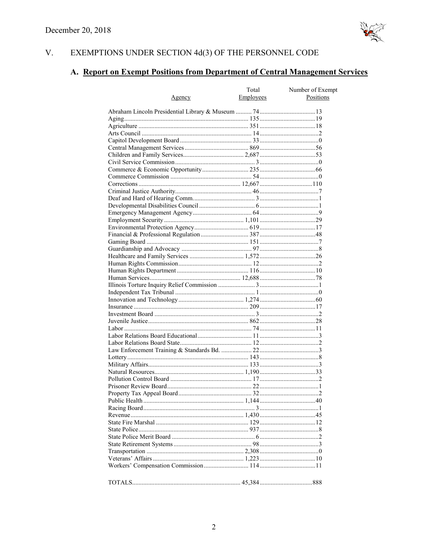

#### V. EXEMPTIONS UNDER SECTION  $4d(3)$  OF THE PERSONNEL CODE

# A. Report on Exempt Positions from Department of Central Management Services

|               | Total     | Number of Exempt |
|---------------|-----------|------------------|
| <u>Agency</u> | Employees | Positions        |
|               |           |                  |
|               |           |                  |
|               |           |                  |
|               |           |                  |
|               |           |                  |
|               |           |                  |
|               |           |                  |
|               |           |                  |
|               |           |                  |
|               |           |                  |
|               |           |                  |
|               |           |                  |
|               |           |                  |
|               |           |                  |
|               |           |                  |
|               |           |                  |
|               |           |                  |
|               |           |                  |
|               |           |                  |
|               |           |                  |
|               |           |                  |
|               |           |                  |
|               |           |                  |
|               |           |                  |
|               |           |                  |
|               |           |                  |
|               |           |                  |
|               |           |                  |
|               |           |                  |
|               |           |                  |
|               |           |                  |
|               |           |                  |
|               |           |                  |
|               |           |                  |
|               |           |                  |
|               |           |                  |
|               |           |                  |
|               |           |                  |
|               |           |                  |
|               |           |                  |
|               |           |                  |
|               |           |                  |
|               |           |                  |
|               |           |                  |
|               |           |                  |
|               |           |                  |
|               |           |                  |
|               |           |                  |
|               |           |                  |
|               |           |                  |
|               |           |                  |
|               |           |                  |
|               |           |                  |
|               |           |                  |
|               |           |                  |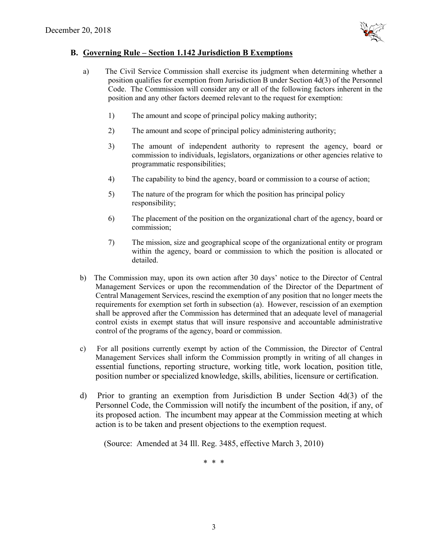

#### **B. Governing Rule – Section 1.142 Jurisdiction B Exemptions**

- a) The Civil Service Commission shall exercise its judgment when determining whether a position qualifies for exemption from Jurisdiction B under Section 4d(3) of the Personnel Code. The Commission will consider any or all of the following factors inherent in the position and any other factors deemed relevant to the request for exemption:
	- 1) The amount and scope of principal policy making authority;
	- 2) The amount and scope of principal policy administering authority;
	- 3) The amount of independent authority to represent the agency, board or commission to individuals, legislators, organizations or other agencies relative to programmatic responsibilities;
	- 4) The capability to bind the agency, board or commission to a course of action;
	- 5) The nature of the program for which the position has principal policy responsibility;
	- 6) The placement of the position on the organizational chart of the agency, board or commission;
	- 7) The mission, size and geographical scope of the organizational entity or program within the agency, board or commission to which the position is allocated or detailed.
- b) The Commission may, upon its own action after 30 days' notice to the Director of Central Management Services or upon the recommendation of the Director of the Department of Central Management Services, rescind the exemption of any position that no longer meets the requirements for exemption set forth in subsection (a). However, rescission of an exemption shall be approved after the Commission has determined that an adequate level of managerial control exists in exempt status that will insure responsive and accountable administrative control of the programs of the agency, board or commission.
- c) For all positions currently exempt by action of the Commission, the Director of Central Management Services shall inform the Commission promptly in writing of all changes in essential functions, reporting structure, working title, work location, position title, position number or specialized knowledge, skills, abilities, licensure or certification.
- d) Prior to granting an exemption from Jurisdiction B under Section 4d(3) of the Personnel Code, the Commission will notify the incumbent of the position, if any, of its proposed action. The incumbent may appear at the Commission meeting at which action is to be taken and present objections to the exemption request.

(Source: Amended at 34 Ill. Reg. 3485, effective March 3, 2010)

\* \* \*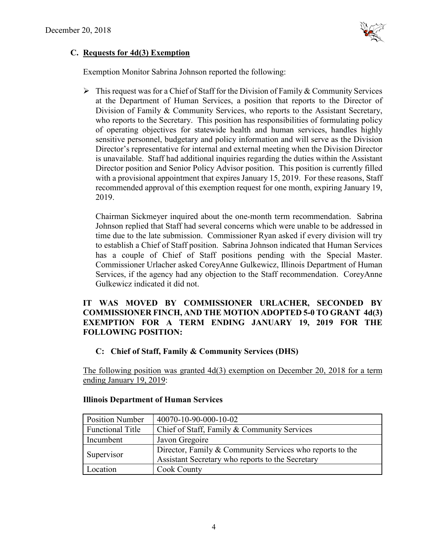

# **C. Requests for 4d(3) Exemption**

Exemption Monitor Sabrina Johnson reported the following:

 $\triangleright$  This request was for a Chief of Staff for the Division of Family & Community Services at the Department of Human Services, a position that reports to the Director of Division of Family & Community Services, who reports to the Assistant Secretary, who reports to the Secretary. This position has responsibilities of formulating policy of operating objectives for statewide health and human services, handles highly sensitive personnel, budgetary and policy information and will serve as the Division Director's representative for internal and external meeting when the Division Director is unavailable. Staff had additional inquiries regarding the duties within the Assistant Director position and Senior Policy Advisor position. This position is currently filled with a provisional appointment that expires January 15, 2019. For these reasons, Staff recommended approval of this exemption request for one month, expiring January 19, 2019.

Chairman Sickmeyer inquired about the one-month term recommendation. Sabrina Johnson replied that Staff had several concerns which were unable to be addressed in time due to the late submission. Commissioner Ryan asked if every division will try to establish a Chief of Staff position. Sabrina Johnson indicated that Human Services has a couple of Chief of Staff positions pending with the Special Master. Commissioner Urlacher asked CoreyAnne Gulkewicz, Illinois Department of Human Services, if the agency had any objection to the Staff recommendation. CoreyAnne Gulkewicz indicated it did not.

# **IT WAS MOVED BY COMMISSIONER URLACHER, SECONDED BY COMMISSIONER FINCH, AND THE MOTION ADOPTED 5-0 TO GRANT 4d(3) EXEMPTION FOR A TERM ENDING JANUARY 19, 2019 FOR THE FOLLOWING POSITION:**

# **C: Chief of Staff, Family & Community Services (DHS)**

The following position was granted 4d(3) exemption on December 20, 2018 for a term ending January 19, 2019:

| <b>Position Number</b>  | 40070-10-90-000-10-02                                    |
|-------------------------|----------------------------------------------------------|
| <b>Functional Title</b> | Chief of Staff, Family & Community Services              |
| Incumbent               | Javon Gregoire                                           |
| Supervisor              | Director, Family & Community Services who reports to the |
|                         | Assistant Secretary who reports to the Secretary         |
| Location                | Cook County                                              |

# **Illinois Department of Human Services**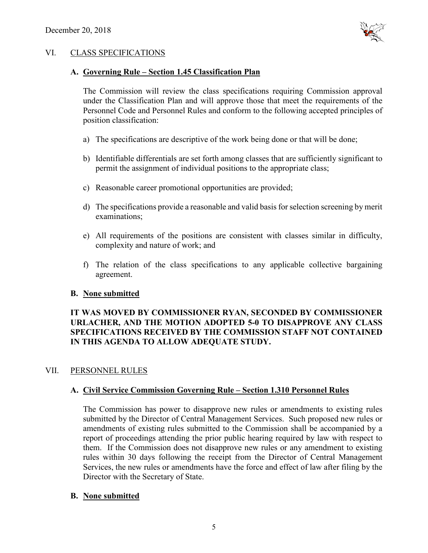

# VI. CLASS SPECIFICATIONS

#### **A. Governing Rule – Section 1.45 Classification Plan**

The Commission will review the class specifications requiring Commission approval under the Classification Plan and will approve those that meet the requirements of the Personnel Code and Personnel Rules and conform to the following accepted principles of position classification:

- a) The specifications are descriptive of the work being done or that will be done;
- b) Identifiable differentials are set forth among classes that are sufficiently significant to permit the assignment of individual positions to the appropriate class;
- c) Reasonable career promotional opportunities are provided;
- d) The specifications provide a reasonable and valid basis for selection screening by merit examinations;
- e) All requirements of the positions are consistent with classes similar in difficulty, complexity and nature of work; and
- f) The relation of the class specifications to any applicable collective bargaining agreement.

#### **B. None submitted**

# **IT WAS MOVED BY COMMISSIONER RYAN, SECONDED BY COMMISSIONER URLACHER, AND THE MOTION ADOPTED 5-0 TO DISAPPROVE ANY CLASS SPECIFICATIONS RECEIVED BY THE COMMISSION STAFF NOT CONTAINED IN THIS AGENDA TO ALLOW ADEQUATE STUDY.**

#### VII. PERSONNEL RULES

#### **A. Civil Service Commission Governing Rule – Section 1.310 Personnel Rules**

The Commission has power to disapprove new rules or amendments to existing rules submitted by the Director of Central Management Services. Such proposed new rules or amendments of existing rules submitted to the Commission shall be accompanied by a report of proceedings attending the prior public hearing required by law with respect to them. If the Commission does not disapprove new rules or any amendment to existing rules within 30 days following the receipt from the Director of Central Management Services, the new rules or amendments have the force and effect of law after filing by the Director with the Secretary of State.

#### **B. None submitted**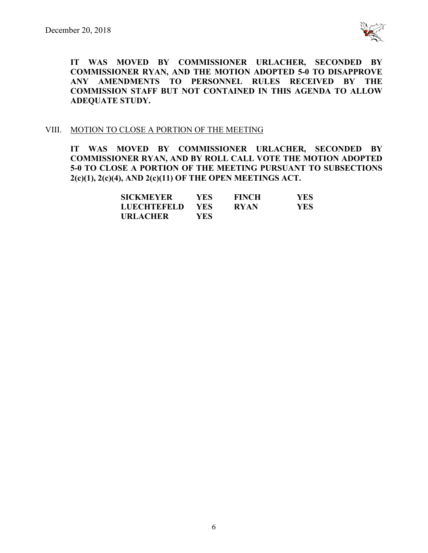

**IT WAS MOVED BY COMMISSIONER URLACHER, SECONDED BY COMMISSIONER RYAN, AND THE MOTION ADOPTED 5-0 TO DISAPPROVE ANY AMENDMENTS TO PERSONNEL RULES RECEIVED BY THE COMMISSION STAFF BUT NOT CONTAINED IN THIS AGENDA TO ALLOW ADEQUATE STUDY.** 

#### VIII. MOTION TO CLOSE A PORTION OF THE MEETING

**IT WAS MOVED BY COMMISSIONER URLACHER, SECONDED BY COMMISSIONER RYAN, AND BY ROLL CALL VOTE THE MOTION ADOPTED 5-0 TO CLOSE A PORTION OF THE MEETING PURSUANT TO SUBSECTIONS 2(c)(1), 2(c)(4), AND 2(c)(11) OF THE OPEN MEETINGS ACT.**

| <b>SICKMEYER</b>   | YES- | <b>FINCH</b> | <b>YES</b> |
|--------------------|------|--------------|------------|
| <b>LUECHTEFELD</b> | YES. | <b>RYAN</b>  | YES.       |
| <b>URLACHER</b>    | YES. |              |            |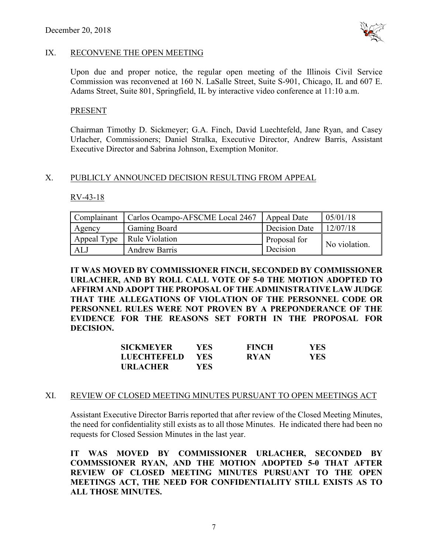

#### IX. RECONVENE THE OPEN MEETING

Upon due and proper notice, the regular open meeting of the Illinois Civil Service Commission was reconvened at 160 N. LaSalle Street, Suite S-901, Chicago, IL and 607 E. Adams Street, Suite 801, Springfield, IL by interactive video conference at 11:10 a.m.

#### PRESENT

Chairman Timothy D. Sickmeyer; G.A. Finch, David Luechtefeld, Jane Ryan, and Casey Urlacher, Commissioners; Daniel Stralka, Executive Director, Andrew Barris, Assistant Executive Director and Sabrina Johnson, Exemption Monitor.

## X. PUBLICLY ANNOUNCED DECISION RESULTING FROM APPEAL

#### RV-43-18

| Complainant | Carlos Ocampo-AFSCME Local 2467 | Appeal Date   | 05/01/18      |
|-------------|---------------------------------|---------------|---------------|
| Agency      | <b>Gaming Board</b>             | Decision Date | 12/07/18      |
|             | Appeal Type   Rule Violation    | Proposal for  | No violation. |
| ALJ         | <b>Andrew Barris</b>            | Decision      |               |

**IT WAS MOVED BY COMMISSIONER FINCH, SECONDED BY COMMISSIONER URLACHER, AND BY ROLL CALL VOTE OF 5-0 THE MOTION ADOPTED TO AFFIRM AND ADOPT THE PROPOSAL OF THE ADMINISTRATIVE LAW JUDGE THAT THE ALLEGATIONS OF VIOLATION OF THE PERSONNEL CODE OR PERSONNEL RULES WERE NOT PROVEN BY A PREPONDERANCE OF THE EVIDENCE FOR THE REASONS SET FORTH IN THE PROPOSAL FOR DECISION.**

| SICKMEYER   | YES        | <b>FINCH</b> | <b>YES</b> |
|-------------|------------|--------------|------------|
| LUECHTEFELD | <b>YES</b> | <b>RYAN</b>  | YES        |
| URLACHER    | YES        |              |            |

#### XI. REVIEW OF CLOSED MEETING MINUTES PURSUANT TO OPEN MEETINGS ACT

Assistant Executive Director Barris reported that after review of the Closed Meeting Minutes, the need for confidentiality still exists as to all those Minutes. He indicated there had been no requests for Closed Session Minutes in the last year.

**IT WAS MOVED BY COMMISSIONER URLACHER, SECONDED BY COMMSSIONER RYAN, AND THE MOTION ADOPTED 5-0 THAT AFTER REVIEW OF CLOSED MEETING MINUTES PURSUANT TO THE OPEN MEETINGS ACT, THE NEED FOR CONFIDENTIALITY STILL EXISTS AS TO ALL THOSE MINUTES.**